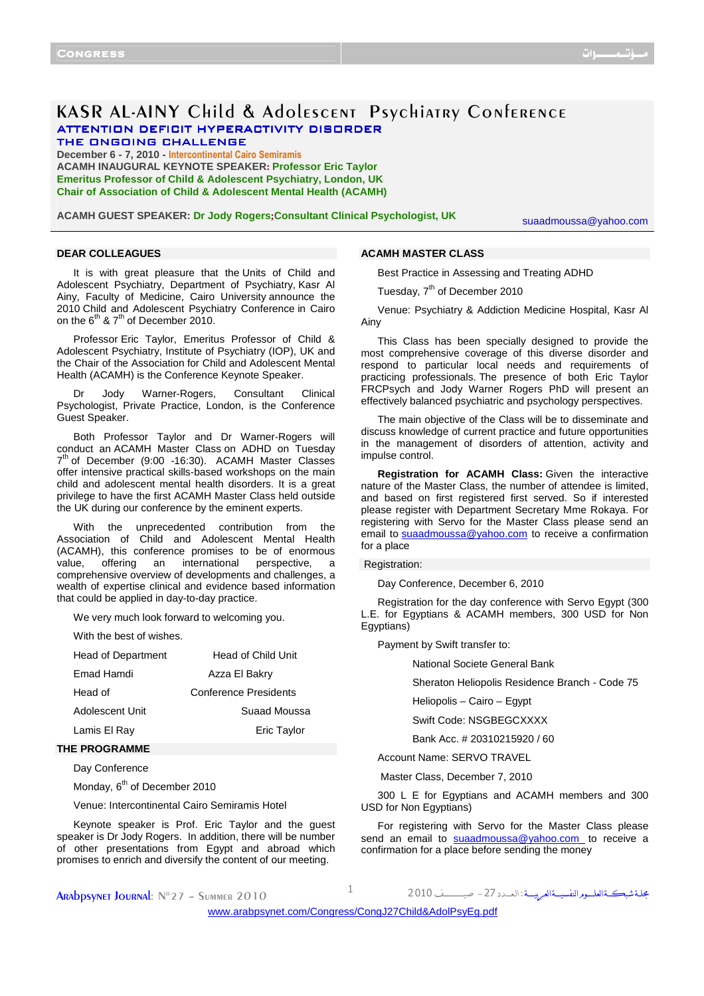# KASR AL-AINY Child & Adolescent Psychiatry Conference ATTENTION DEFICIT HYPERACTIVITY DISORDER THE ONGOING CHALLENGE

**December 6 - 7, 2010 - Intercontinental Cairo Semiramis ACAMH INAUGURAL KEYNOTE SPEAKER: Professor Eric Taylor Emeritus Professor of Child & Adolescent Psychiatry, London, UK Chair of Association of Child & Adolescent Mental Health (ACAMH)**

**ACAMH GUEST SPEAKER: Dr Jody Rogers;Consultant Clinical Psychologist, UK**

suaadmoussa@yahoo.com

## **DEAR COLLEAGUES**

**ACAMH MASTER CLASS**

It is with great pleasure that the Units of Child and Adolescent Psychiatry, Department of Psychiatry, Kasr Al Ainy, Faculty of Medicine, Cairo University announce the 2010 Child and Adolescent Psychiatry Conference in Cairo on the  $6^{th}$  &  $7^{th}$  of December 2010.

Professor Eric Taylor, Emeritus Professor of Child & Adolescent Psychiatry, Institute of Psychiatry (IOP), UK and the Chair of the Association for Child and Adolescent Mental Health (ACAMH) is the Conference Keynote Speaker.

Dr Jody Warner-Rogers, Consultant Clinical Psychologist, Private Practice, London, is the Conference Guest Speaker.

Both Professor Taylor and Dr Warner-Rogers will conduct an ACAMH Master Class on ADHD on Tuesday 7<sup>th</sup> of December (9:00 -16:30). ACAMH Master Classes offer intensive practical skills-based workshops on the main child and adolescent mental health disorders. It is a great privilege to have the first ACAMH Master Class held outside the UK during our conference by the eminent experts.

With the unprecedented contribution from the Association of Child and Adolescent Mental Health (ACAMH), this conference promises to be of enormous value, offering an international perspective, a comprehensive overview of developments and challenges, a wealth of expertise clinical and evidence based information that could be applied in day-to-day practice.

We very much look forward to welcoming you.

With the best of wishes.

| Head of Department | Head of Child Unit    |
|--------------------|-----------------------|
| Fmad Hamdi         | Azza El Bakry         |
| Head of            | Conference Presidents |
| Adolescent Unit    | Suaad Moussa          |
| Lamis El Rav       | Eric Taylor           |
|                    |                       |

## **THE PROGRAMME**

Day Conference

Monday, 6<sup>th</sup> of December 2010

Venue: Intercontinental Cairo Semiramis Hotel

Keynote speaker is Prof. Eric Taylor and the guest speaker is Dr Jody Rogers. In addition, there will be number of other presentations from Egypt and abroad which promises to enrich and diversify the content of our meeting.

Tuesday, 7<sup>th</sup> of December 2010

Venue: Psychiatry & Addiction Medicine Hospital, Kasr Al Ainy

Best Practice in Assessing and Treating ADHD

This Class has been specially designed to provide the most comprehensive coverage of this diverse disorder and respond to particular local needs and requirements of practicing professionals. The presence of both Eric Taylor FRCPsych and Jody Warner Rogers PhD will present an effectively balanced psychiatric and psychology perspectives.

The main objective of the Class will be to disseminate and discuss knowledge of current practice and future opportunities in the management of disorders of attention, activity and impulse control.

**Registration for ACAMH Class:** Given the interactive nature of the Master Class, the number of attendee is limited, and based on first registered first served. So if interested please register with Department Secretary Mme Rokaya. For registering with Servo for the Master Class please send an email to suaadmoussa@yahoo.com to receive a confirmation for a place

#### Registration:

Day Conference, December 6, 2010

Registration for the day conference with Servo Egypt (300 L.E. for Egyptians & ACAMH members, 300 USD for Non Egyptians)

Payment by Swift transfer to:

National Societe General Bank

Sheraton Heliopolis Residence Branch - Code 75

Heliopolis – Cairo – Egypt

Swift Code: NSGBEGCXXXX

Bank Acc. # 20310215920 / 60

Account Name: SERVO TRAVEL

Master Class, December 7, 2010

300 L E for Egyptians and ACAMH members and 300 USD for Non Egyptians)

For registering with Servo for the Master Class please send an email to suaadmoussa@yahoo.com to receive a confirmation for a place before sending the money

**ARADDSYNET JOURNAL:**  $N^{\circ}27 - S$ ummer 2010  $1$ 

مجلة شبكةالعلــوم النفسيــةالعربيـــة : ال